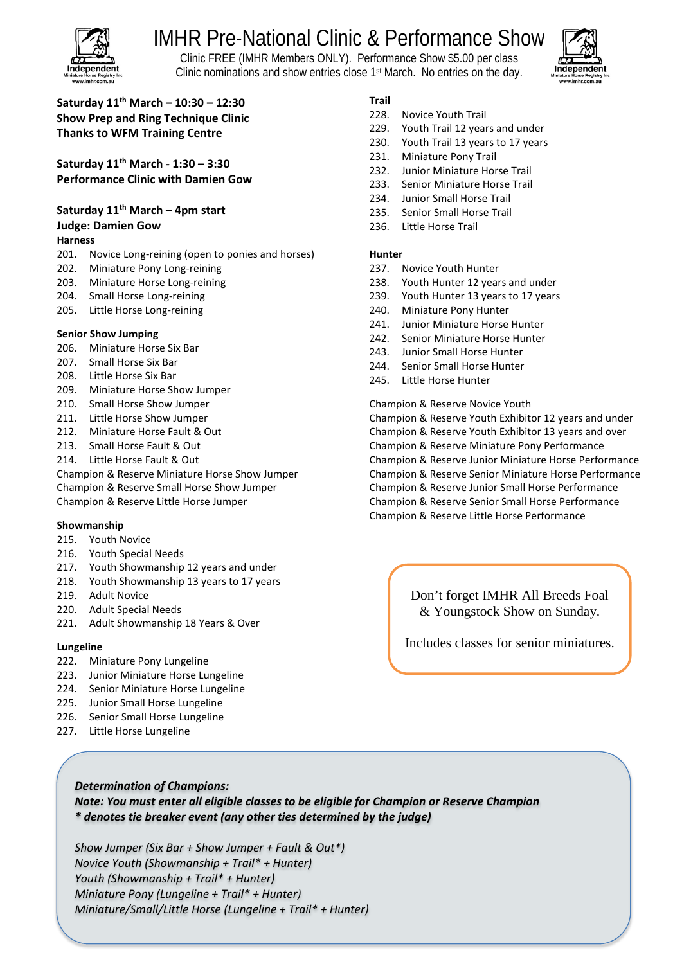

# IMHR Pre-National Clinic & Performance Show

Clinic FREE (IMHR Members ONLY). Performance Show \$5.00 per class Clinic nominations and show entries close 1st March. No entries on the day.



### **Saturday 11th March – 10:30 – 12:30 Show Prep and Ring Technique Clinic Thanks to WFM Training Centre**

**Saturday 11th March - 1:30 – 3:30 Performance Clinic with Damien Gow**

# **Saturday 11th March – 4pm start**

## **Judge: Damien Gow**

#### **Harness**

- 201. Novice Long-reining (open to ponies and horses)
- 202. Miniature Pony Long-reining
- 203. Miniature Horse Long-reining
- 204. Small Horse Long-reining
- 205. Little Horse Long-reining

#### **Senior Show Jumping**

- 206. Miniature Horse Six Bar
- 207. Small Horse Six Bar
- 208. Little Horse Six Bar
- 209. Miniature Horse Show Jumper
- 210. Small Horse Show Jumper
- 211. Little Horse Show Jumper
- 212. Miniature Horse Fault & Out
- 213. Small Horse Fault & Out
- 214. Little Horse Fault & Out

Champion & Reserve Miniature Horse Show Jumper Champion & Reserve Small Horse Show Jumper Champion & Reserve Little Horse Jumper

#### **Showmanship**

- 215. Youth Novice
- 216. Youth Special Needs
- 217. Youth Showmanship 12 years and under
- 218. Youth Showmanship 13 years to 17 years
- 219. Adult Novice
- 220. Adult Special Needs
- 221. Adult Showmanship 18 Years & Over

#### **Lungeline**

- 222. Miniature Pony Lungeline
- 223. Junior Miniature Horse Lungeline
- 224. Senior Miniature Horse Lungeline
- 225. Junior Small Horse Lungeline
- 226. Senior Small Horse Lungeline
- 227. Little Horse Lungeline

#### **Trail**

- 228. Novice Youth Trail
- 229. Youth Trail 12 years and under
- 230. Youth Trail 13 years to 17 years
- 231. Miniature Pony Trail
- 232. Junior Miniature Horse Trail
- 233. Senior Miniature Horse Trail
- 234. Junior Small Horse Trail
- 235. Senior Small Horse Trail
- 236. Little Horse Trail

#### **Hunter**

- 237. Novice Youth Hunter
- 238. Youth Hunter 12 years and under
- 239. Youth Hunter 13 years to 17 years
- 240. Miniature Pony Hunter
- 241. Junior Miniature Horse Hunter
- 242. Senior Miniature Horse Hunter
- 243. Junior Small Horse Hunter
- 244. Senior Small Horse Hunter
- 245. Little Horse Hunter

Champion & Reserve Novice Youth Champion & Reserve Youth Exhibitor 12 years and under Champion & Reserve Youth Exhibitor 13 years and over Champion & Reserve Miniature Pony Performance Champion & Reserve Junior Miniature Horse Performance Champion & Reserve Senior Miniature Horse Performance Champion & Reserve Junior Small Horse Performance Champion & Reserve Senior Small Horse Performance Champion & Reserve Little Horse Performance

> Don't forget IMHR All Breeds Foal & Youngstock Show on Sunday.

Includes classes for senior miniatures.

### *Determination of Champions: Note: You must enter all eligible classes to be eligible for Champion or Reserve Champion \* denotes tie breaker event (any other ties determined by the judge)*

*Show Jumper (Six Bar + Show Jumper + Fault & Out\*) Novice Youth (Showmanship + Trail\* + Hunter) Youth (Showmanship + Trail\* + Hunter) Miniature Pony (Lungeline + Trail\* + Hunter) Miniature/Small/Little Horse (Lungeline + Trail\* + Hunter)*